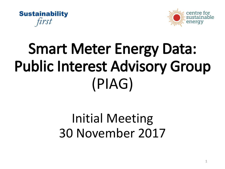



# Smart Meter Energy Data: Public Interest Advisory Group (PIAG)

### Initial Meeting 30 November 2017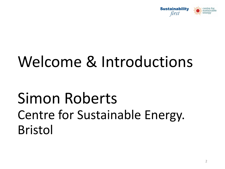

# Welcome & Introductions

# Simon Roberts Centre for Sustainable Energy. Bristol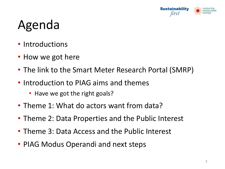

# Agenda

- Introductions
- How we got here
- The link to the Smart Meter Research Portal (SMRP)
- Introduction to PIAG aims and themes
	- Have we got the right goals?
- Theme 1: What do actors want from data?
- Theme 2: Data Properties and the Public Interest
- Theme 3: Data Access and the Public Interest
- PIAG Modus Operandi and next steps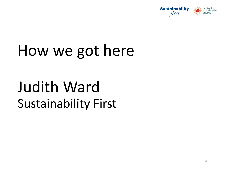

# How we got here

# Judith Ward Sustainability First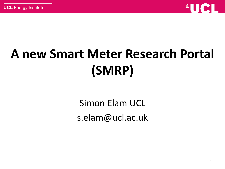

# **A new Smart Meter Research Portal (SMRP)**

Simon Elam UCL s.elam@ucl.ac.uk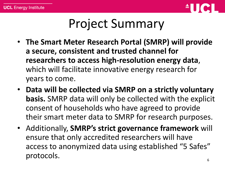

#### Project Summary

- **The Smart Meter Research Portal (SMRP) will provide a secure, consistent and trusted channel for researchers to access high-resolution energy data**, which will facilitate innovative energy research for years to come.
- **Data will be collected via SMRP on a strictly voluntary basis.** SMRP data will only be collected with the explicit consent of households who have agreed to provide their smart meter data to SMRP for research purposes.
- Additionally, **SMRP's strict governance framework** will ensure that only accredited researchers will have access to anonymized data using established "5 Safes" protocols.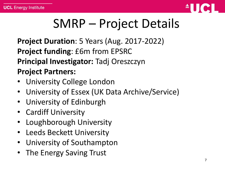

# SMRP – Project Details

**Project Duration**: 5 Years (Aug. 2017-2022) **Project funding**: £6m from EPSRC **Principal Investigator:** Tadj Oreszczyn **Project Partners:**

- University College London
- University of Essex (UK Data Archive/Service)
- University of Edinburgh
- Cardiff University
- Loughborough University
- **Leeds Beckett University**
- University of Southampton
- The Energy Saving Trust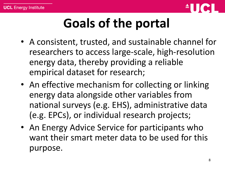

# **Goals of the portal**

- A consistent, trusted, and sustainable channel for researchers to access large-scale, high-resolution energy data, thereby providing a reliable empirical dataset for research;
- An effective mechanism for collecting or linking energy data alongside other variables from national surveys (e.g. EHS), administrative data (e.g. EPCs), or individual research projects;
- An Energy Advice Service for participants who want their smart meter data to be used for this purpose.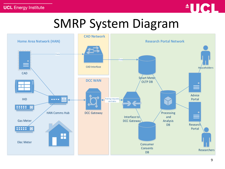

#### SMRP System Diagram

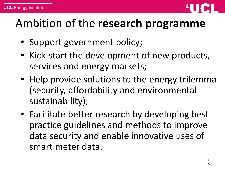

#### Ambition of the **research programme**

- Support government policy;
- Kick-start the development of new products, services and energy markets;
- Help provide solutions to the energy trilemma (security, affordability and environmental sustainability);
- Facilitate better research by developing best practice guidelines and methods to improve data security and enable innovative uses of smart meter data.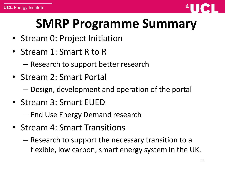

# **SMRP Programme Summary**

- Stream 0: Project Initiation
- Stream 1: Smart R to R

– Research to support better research

• Stream 2: Smart Portal

– Design, development and operation of the portal

- Stream 3: Smart EUED
	- End Use Energy Demand research
- Stream 4: Smart Transitions
	- Research to support the necessary transition to a flexible, low carbon, smart energy system in the UK.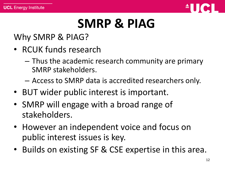

### **SMRP & PIAG**

Why SMRP & PIAG?

- RCUK funds research
	- Thus the academic research community are primary SMRP stakeholders.
	- Access to SMRP data is accredited researchers only.
- BUT wider public interest is important.
- SMRP will engage with a broad range of stakeholders.
- However an independent voice and focus on public interest issues is key.
- Builds on existing SF & CSE expertise in this area.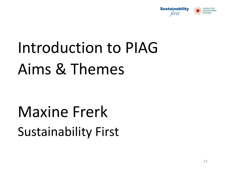

# Introduction to PIAG Aims & Themes

# Maxine Frerk Sustainability First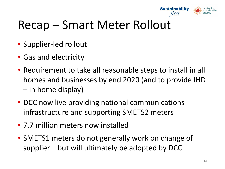

#### Recap – Smart Meter Rollout

- Supplier-led rollout
- Gas and electricity
- Requirement to take all reasonable steps to install in all homes and businesses by end 2020 (and to provide IHD – in home display)
- DCC now live providing national communications infrastructure and supporting SMETS2 meters
- 7.7 million meters now installed
- SMETS1 meters do not generally work on change of supplier – but will ultimately be adopted by DCC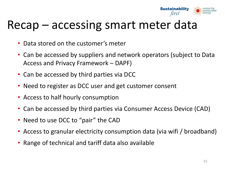

#### Recap – accessing smart meter data

- Data stored on the customer's meter
- Can be accessed by suppliers and network operators (subject to Data Access and Privacy Framework – DAPF)
- Can be accessed by third parties via DCC
- Need to register as DCC user and get customer consent
- Access to half hourly consumption
- Can be accessed by third parties via Consumer Access Device (CAD)
- Need to use DCC to "pair" the CAD
- Access to granular electricity consumption data (via wifi / broadband)
- Range of technical and tariff data also available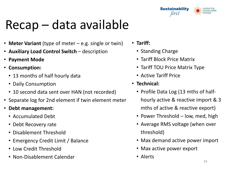

# Recap – data available

- **Meter Variant** (type of meter e.g. single or twin)
- **Auxiliary Load Control Switch**  description
- **Payment Mode**
- **Consumption:**
	- 13 months of half hourly data
	- Daily Consumption
	- 10 second data sent over HAN (not recorded)
- Separate log for 2nd element if twin element meter
- **Debt management:**
	- Accumulated Debt
	- Debt Recovery rate
	- Disablement Threshold
	- Emergency Credit Limit / Balance
	- Low Credit Threshold
	- Non-Disablement Calendar
- **Tariff:**
	- Standing Charge
	- Tariff Block Price Matrix
	- Tariff TOU Price Matrix Type
	- Active Tariff Price
- **Technical:**
	- Profile Data Log (13 mths of halfhourly active & reactive import & 3 mths of active & reactive export)
	- Power Threshold low, med, high
	- Average RMS voltage (when over threshold)
	- Max demand active power import
	- Max active power export
	- Alerts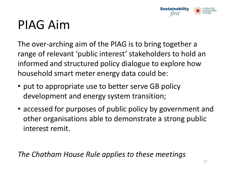

### PIAG Aim

The over-arching aim of the PIAG is to bring together a range of relevant 'public interest' stakeholders to hold an informed and structured policy dialogue to explore how household smart meter energy data could be:

- put to appropriate use to better serve GB policy development and energy system transition;
- accessed for purposes of public policy by government and other organisations able to demonstrate a strong public interest remit.

*The Chatham House Rule applies to these meetings*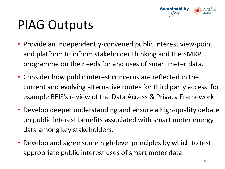

#### PIAG Outputs

- Provide an independently-convened public interest view-point and platform to inform stakeholder thinking and the SMRP programme on the needs for and uses of smart meter data.
- Consider how public interest concerns are reflected in the current and evolving alternative routes for third party access, for example BEIS's review of the Data Access & Privacy Framework.
- Develop deeper understanding and ensure a high-quality debate on public interest benefits associated with smart meter energy data among key stakeholders.
- Develop and agree some high-level principles by which to test appropriate public interest uses of smart meter data.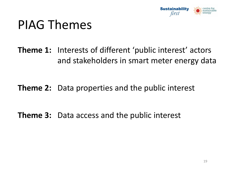

#### PIAG Themes

**Theme 1:** Interests of different 'public interest' actors and stakeholders in smart meter energy data

**Theme 2:** Data properties and the public interest

**Theme 3:** Data access and the public interest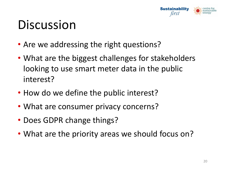

#### **Discussion**

- Are we addressing the right questions?
- What are the biggest challenges for stakeholders looking to use smart meter data in the public interest?
- How do we define the public interest?
- What are consumer privacy concerns?
- Does GDPR change things?
- What are the priority areas we should focus on?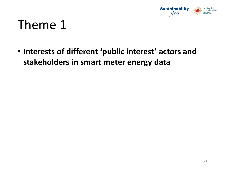

#### Theme 1

• **Interests of different 'public interest' actors and stakeholders in smart meter energy data**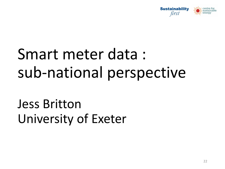

# Smart meter data : sub-national perspective

### Jess Britton University of Exeter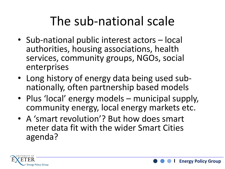# The sub-national scale

- Sub-national public interest actors local authorities, housing associations, health services, community groups, NGOs, social enterprises
- Long history of energy data being used subnationally, often partnership based models
- Plus 'local' energy models municipal supply, community energy, local energy markets etc.
- A 'smart revolution'? But how does smart meter data fit with the wider Smart Cities agenda?



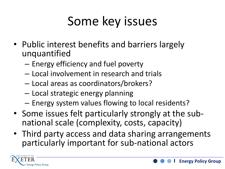# Some key issues

- Public interest benefits and barriers largely unquantified
	- Energy efficiency and fuel poverty
	- Local involvement in research and trials
	- Local areas as coordinators/brokers?
	- Local strategic energy planning
	- Energy system values flowing to local residents?
- Some issues felt particularly strongly at the subnational scale (complexity, costs, capacity)
- Third party access and data sharing arrangements particularly important for sub-national actors

**Energy Policy Group** 

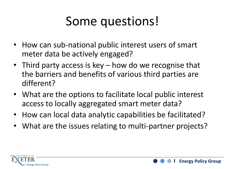# Some questions!

- How can sub-national public interest users of smart meter data be actively engaged?
- Third party access is key how do we recognise that the barriers and benefits of various third parties are different?
- What are the options to facilitate local public interest access to locally aggregated smart meter data?
- How can local data analytic capabilities be facilitated?
- What are the issues relating to multi-partner projects?

**Energy Policy Group** 

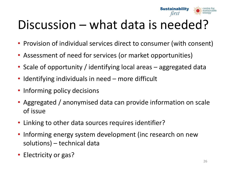

# Discussion – what data is needed?

- Provision of individual services direct to consumer (with consent)
- Assessment of need for services (or market opportunities)
- Scale of opportunity / identifying local areas aggregated data
- Identifying individuals in need more difficult
- Informing policy decisions
- Aggregated / anonymised data can provide information on scale of issue
- Linking to other data sources requires identifier?
- Informing energy system development (inc research on new solutions) – technical data
- Electricity or gas?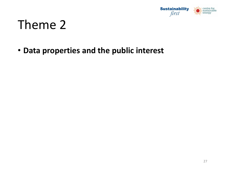

#### Theme 2

• **Data properties and the public interest**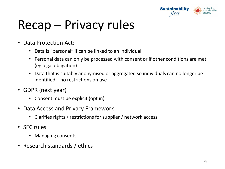

# Recap – Privacy rules

- Data Protection Act:
	- Data is "personal" if can be linked to an individual
	- Personal data can only be processed with consent or if other conditions are met (eg legal obligation)
	- Data that is suitably anonymised or aggregated so individuals can no longer be identified – no restrictions on use
- GDPR (next year)
	- Consent must be explicit (opt in)
- Data Access and Privacy Framework
	- Clarifies rights / restrictions for supplier / network access
- SEC rules
	- Managing consents
- Research standards / ethics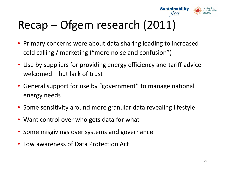

#### Recap – Ofgem research (2011)

- Primary concerns were about data sharing leading to increased cold calling / marketing ("more noise and confusion")
- Use by suppliers for providing energy efficiency and tariff advice welcomed – but lack of trust
- General support for use by "government" to manage national energy needs
- Some sensitivity around more granular data revealing lifestyle
- Want control over who gets data for what
- Some misgivings over systems and governance
- Low awareness of Data Protection Act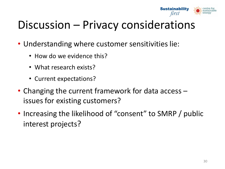

#### Discussion – Privacy considerations

- Understanding where customer sensitivities lie:
	- How do we evidence this?
	- What research exists?
	- Current expectations?
- Changing the current framework for data access issues for existing customers?
- Increasing the likelihood of "consent" to SMRP / public interest projects?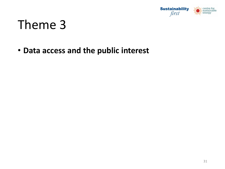

#### Theme 3

• **Data access and the public interest**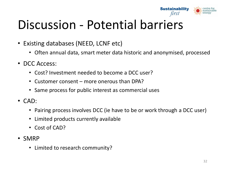

## Discussion - Potential barriers

- Existing databases (NEED, LCNF etc)
	- Often annual data, smart meter data historic and anonymised, processed
- DCC Access:
	- Cost? Investment needed to become a DCC user?
	- Customer consent more onerous than DPA?
	- Same process for public interest as commercial uses
- CAD:
	- Pairing process involves DCC (ie have to be or work through a DCC user)
	- Limited products currently available
	- Cost of CAD?
- SMRP
	- Limited to research community?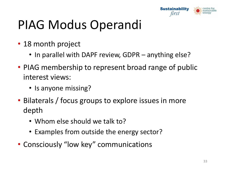

# PIAG Modus Operandi

- 18 month project
	- In parallel with DAPF review, GDPR anything else?
- PIAG membership to represent broad range of public interest views:
	- Is anyone missing?
- Bilaterals / focus groups to explore issues in more depth
	- Whom else should we talk to?
	- Examples from outside the energy sector?
- Consciously "low key" communications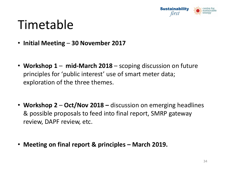

#### Timetable

- **Initial Meeting 30 November 2017**
- **Workshop 1 mid-March 2018** scoping discussion on future principles for 'public interest' use of smart meter data; exploration of the three themes.
- **Workshop 2 Oct/Nov 2018 –** discussion on emerging headlines & possible proposals to feed into final report, SMRP gateway review, DAPF review, etc.
- **Meeting on final report & principles – March 2019.**